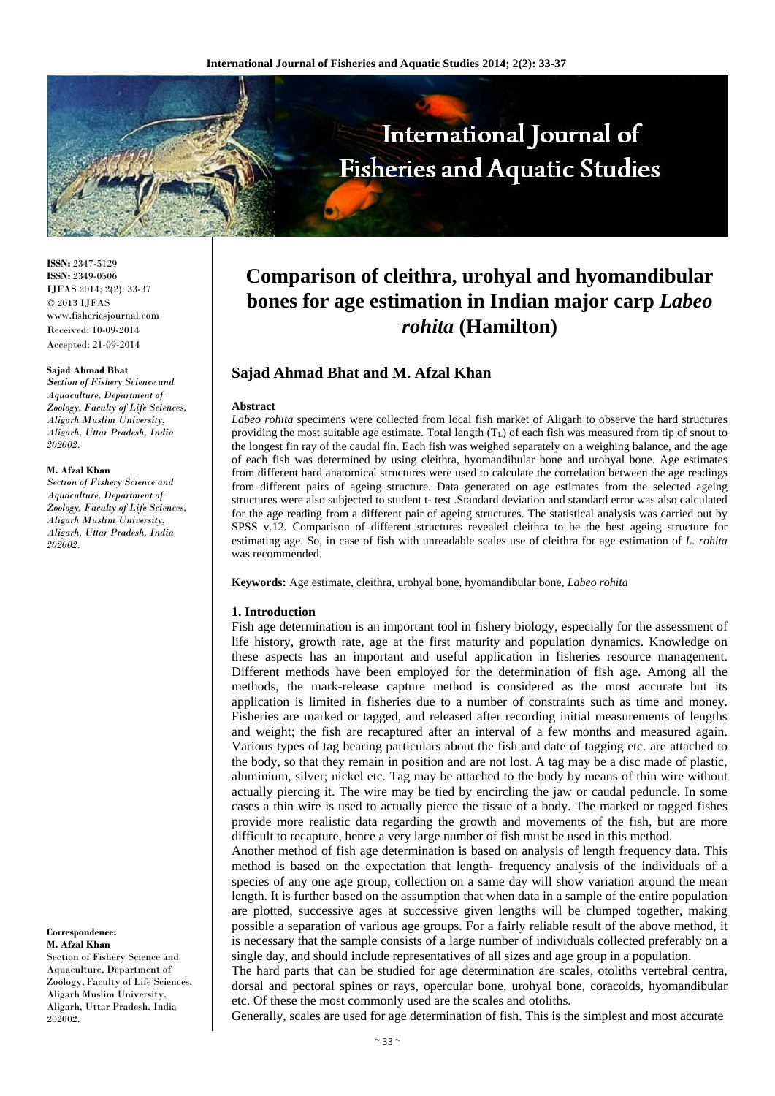

**ISSN:** 2347-5129 **ISSN:** 2349-0506 IJFAS 2014; 2(2): 33-37 © 2013 IJFAS www.fisheriesjournal.com Received: 10-09-2014 Accepted: 21-09-2014

#### **Sajad Ahmad Bhat**

*Section of Fishery Science and Aquaculture, Department of Zoology, Faculty of Life Sciences, Aligarh Muslim University, Aligarh, Uttar Pradesh, India 202002.* 

#### **M. Afzal Khan**

*Section of Fishery Science and Aquaculture, Department of Zoology, Faculty of Life Sciences, Aligarh Muslim University, Aligarh, Uttar Pradesh, India 202002.* 

#### **Correspondence: M. Afzal Khan**

Section of Fishery Science and Aquaculture, Department of Zoology,Faculty of Life Sciences, Aligarh Muslim University, Aligarh, Uttar Pradesh, India 202002.

# **Comparison of cleithra, urohyal and hyomandibular bones for age estimation in Indian major carp** *Labeo rohita* **(Hamilton)**

# **Sajad Ahmad Bhat and M. Afzal Khan**

#### **Abstract**

*Labeo rohita* specimens were collected from local fish market of Aligarh to observe the hard structures providing the most suitable age estimate. Total length (TL) of each fish was measured from tip of snout to the longest fin ray of the caudal fin. Each fish was weighed separately on a weighing balance, and the age of each fish was determined by using cleithra, hyomandibular bone and urohyal bone. Age estimates from different hard anatomical structures were used to calculate the correlation between the age readings from different pairs of ageing structure. Data generated on age estimates from the selected ageing structures were also subjected to student t- test .Standard deviation and standard error was also calculated for the age reading from a different pair of ageing structures. The statistical analysis was carried out by SPSS v.12. Comparison of different structures revealed cleithra to be the best ageing structure for estimating age. So, in case of fish with unreadable scales use of cleithra for age estimation of *L. rohita* was recommended.

**Keywords:** Age estimate, cleithra, urohyal bone, hyomandibular bone, *Labeo rohita*

## **1. Introduction**

Fish age determination is an important tool in fishery biology, especially for the assessment of life history, growth rate, age at the first maturity and population dynamics. Knowledge on these aspects has an important and useful application in fisheries resource management. Different methods have been employed for the determination of fish age. Among all the methods, the mark-release capture method is considered as the most accurate but its application is limited in fisheries due to a number of constraints such as time and money. Fisheries are marked or tagged, and released after recording initial measurements of lengths and weight; the fish are recaptured after an interval of a few months and measured again. Various types of tag bearing particulars about the fish and date of tagging etc. are attached to the body, so that they remain in position and are not lost. A tag may be a disc made of plastic, aluminium, silver; nickel etc. Tag may be attached to the body by means of thin wire without actually piercing it. The wire may be tied by encircling the jaw or caudal peduncle. In some cases a thin wire is used to actually pierce the tissue of a body. The marked or tagged fishes provide more realistic data regarding the growth and movements of the fish, but are more difficult to recapture, hence a very large number of fish must be used in this method.

Another method of fish age determination is based on analysis of length frequency data. This method is based on the expectation that length- frequency analysis of the individuals of a species of any one age group, collection on a same day will show variation around the mean length. It is further based on the assumption that when data in a sample of the entire population are plotted, successive ages at successive given lengths will be clumped together, making possible a separation of various age groups. For a fairly reliable result of the above method, it is necessary that the sample consists of a large number of individuals collected preferably on a single day, and should include representatives of all sizes and age group in a population.

The hard parts that can be studied for age determination are scales, otoliths vertebral centra, dorsal and pectoral spines or rays, opercular bone, urohyal bone, coracoids, hyomandibular etc. Of these the most commonly used are the scales and otoliths.

Generally, scales are used for age determination of fish. This is the simplest and most accurate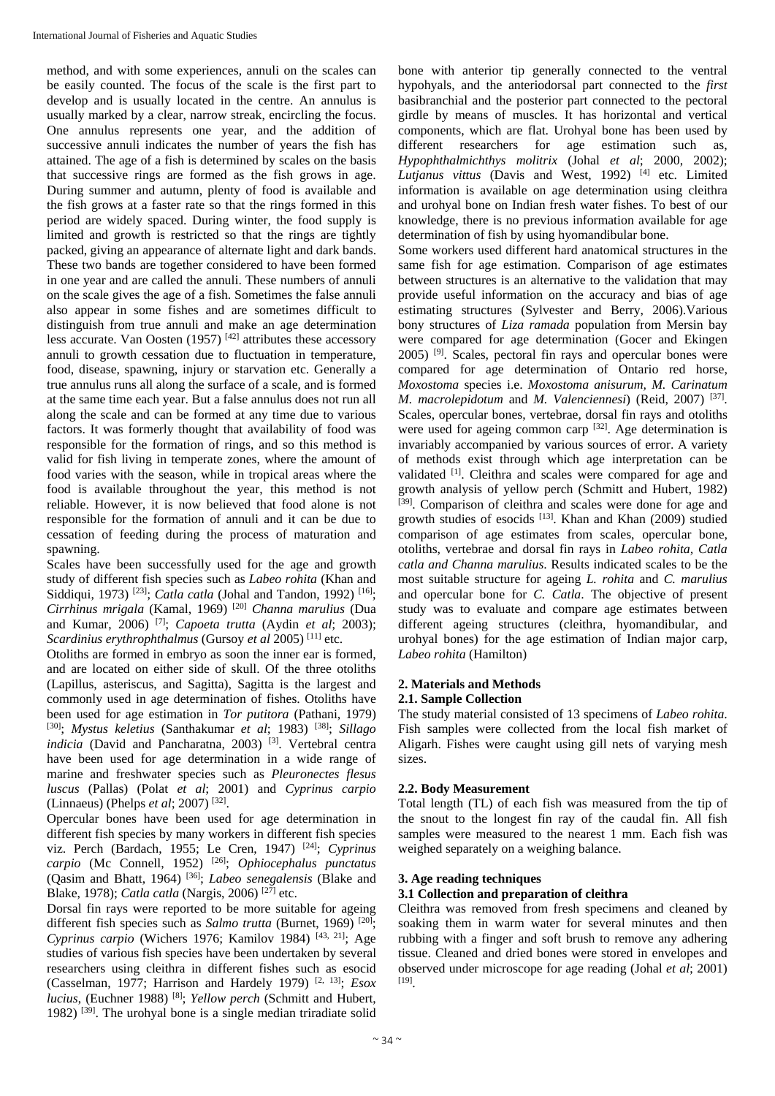method, and with some experiences, annuli on the scales can be easily counted. The focus of the scale is the first part to develop and is usually located in the centre. An annulus is usually marked by a clear, narrow streak, encircling the focus. One annulus represents one year, and the addition of successive annuli indicates the number of years the fish has attained. The age of a fish is determined by scales on the basis that successive rings are formed as the fish grows in age. During summer and autumn, plenty of food is available and the fish grows at a faster rate so that the rings formed in this period are widely spaced. During winter, the food supply is limited and growth is restricted so that the rings are tightly packed, giving an appearance of alternate light and dark bands. These two bands are together considered to have been formed in one year and are called the annuli. These numbers of annuli on the scale gives the age of a fish. Sometimes the false annuli also appear in some fishes and are sometimes difficult to distinguish from true annuli and make an age determination less accurate. Van Oosten (1957)  $[42]$  attributes these accessory annuli to growth cessation due to fluctuation in temperature, food, disease, spawning, injury or starvation etc. Generally a true annulus runs all along the surface of a scale, and is formed at the same time each year. But a false annulus does not run all along the scale and can be formed at any time due to various factors. It was formerly thought that availability of food was responsible for the formation of rings, and so this method is valid for fish living in temperate zones, where the amount of food varies with the season, while in tropical areas where the food is available throughout the year, this method is not reliable. However, it is now believed that food alone is not responsible for the formation of annuli and it can be due to cessation of feeding during the process of maturation and spawning.

Scales have been successfully used for the age and growth study of different fish species such as *Labeo rohita* (Khan and Siddiqui, 1973)<sup>[23]</sup>; *Catla catla* (Johal and Tandon, 1992)<sup>[16]</sup>; *Cirrhinus mrigala* (Kamal, 1969) [20] *Channa marulius* (Dua and Kumar, 2006) [7]; *Capoeta trutta* (Aydin *et al*; 2003); *Scardinius erythrophthalmus* (Gursoy *et al* 2005) [11] etc.

Otoliths are formed in embryo as soon the inner ear is formed, and are located on either side of skull. Of the three otoliths (Lapillus, asteriscus, and Sagitta), Sagitta is the largest and commonly used in age determination of fishes. Otoliths have been used for age estimation in *Tor putitora* (Pathani, 1979) [30]; *Mystus keletius* (Santhakumar *et al*; 1983) [38]; *Sillago*  indicia (David and Pancharatna, 2003)<sup>[3]</sup>. Vertebral centra have been used for age determination in a wide range of marine and freshwater species such as *Pleuronectes flesus luscus* (Pallas) (Polat *et al*; 2001) and *Cyprinus carpio* (Linnaeus) (Phelps *et al*; 2007) [32].

Opercular bones have been used for age determination in different fish species by many workers in different fish species viz. Perch (Bardach, 1955; Le Cren, 1947) [24]; *Cyprinus carpio* (Mc Connell, 1952) [26]; *Ophiocephalus punctatus* (Qasim and Bhatt, 1964) [36]; *Labeo senegalensis* (Blake and Blake, 1978); *Catla catla* (Nargis, 2006) [27] etc.

Dorsal fin rays were reported to be more suitable for ageing different fish species such as *Salmo trutta* (Burnet, 1969)<sup>[20]</sup>; *Cyprinus carpio* (Wichers 1976; Kamilov 1984) [43, 21]; Age studies of various fish species have been undertaken by several researchers using cleithra in different fishes such as esocid (Casselman, 1977; Harrison and Hardely 1979) [2, 13]; *Esox lucius*, (Euchner 1988) [8]; *Yellow perch* (Schmitt and Hubert, 1982) [39]. The urohyal bone is a single median triradiate solid

bone with anterior tip generally connected to the ventral hypohyals, and the anteriodorsal part connected to the *first*  basibranchial and the posterior part connected to the pectoral girdle by means of muscles. It has horizontal and vertical components, which are flat. Urohyal bone has been used by different researchers for age estimation such as, *Hypophthalmichthys molitrix* (Johal *et al*; 2000, 2002); *Lutjanus vittus* (Davis and West, 1992) [4] etc. Limited information is available on age determination using cleithra and urohyal bone on Indian fresh water fishes. To best of our knowledge, there is no previous information available for age determination of fish by using hyomandibular bone.

Some workers used different hard anatomical structures in the same fish for age estimation. Comparison of age estimates between structures is an alternative to the validation that may provide useful information on the accuracy and bias of age estimating structures (Sylvester and Berry, 2006).Various bony structures of *Liza ramada* population from Mersin bay were compared for age determination (Gocer and Ekingen  $2005$ ) <sup>[9]</sup>. Scales, pectoral fin rays and opercular bones were compared for age determination of Ontario red horse, *Moxostoma* species i.e. *Moxostoma anisurum, M. Carinatum M. macrolepidotum* and *M. Valenciennesi*) (Reid, 2007) [37]. Scales, opercular bones, vertebrae, dorsal fin rays and otoliths were used for ageing common carp [32]. Age determination is invariably accompanied by various sources of error. A variety of methods exist through which age interpretation can be validated <sup>[1]</sup>. Cleithra and scales were compared for age and growth analysis of yellow perch (Schmitt and Hubert, 1982) [39]. Comparison of cleithra and scales were done for age and growth studies of esocids [13]. Khan and Khan (2009) studied comparison of age estimates from scales, opercular bone, otoliths, vertebrae and dorsal fin rays in *Labeo rohita, Catla catla and Channa marulius*. Results indicated scales to be the most suitable structure for ageing *L. rohita* and *C. marulius* and opercular bone for *C. Catla*. The objective of present study was to evaluate and compare age estimates between different ageing structures (cleithra, hyomandibular, and urohyal bones) for the age estimation of Indian major carp, *Labeo rohita* (Hamilton)

# **2. Materials and Methods**

## **2.1. Sample Collection**

The study material consisted of 13 specimens of *Labeo rohita*. Fish samples were collected from the local fish market of Aligarh. Fishes were caught using gill nets of varying mesh sizes.

# **2.2. Body Measurement**

Total length (TL) of each fish was measured from the tip of the snout to the longest fin ray of the caudal fin. All fish samples were measured to the nearest 1 mm. Each fish was weighed separately on a weighing balance.

## **3. Age reading techniques**

## **3.1 Collection and preparation of cleithra**

Cleithra was removed from fresh specimens and cleaned by soaking them in warm water for several minutes and then rubbing with a finger and soft brush to remove any adhering tissue. Cleaned and dried bones were stored in envelopes and observed under microscope for age reading (Johal *et al*; 2001) [19].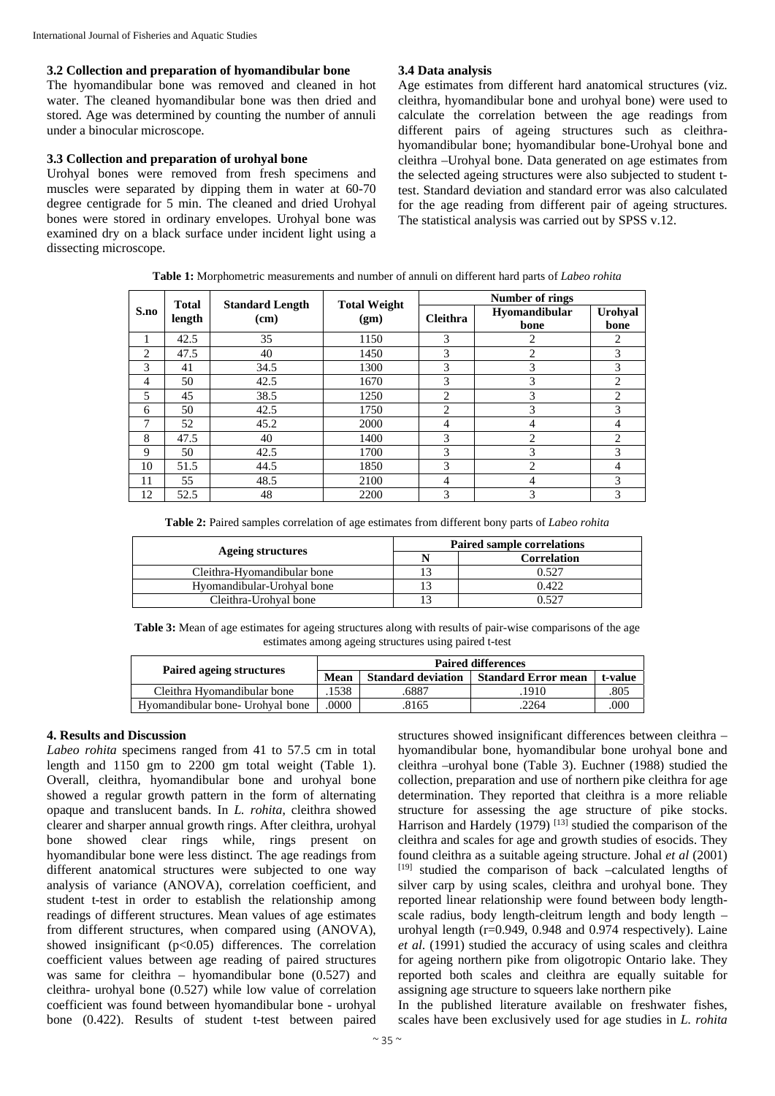## **3.2 Collection and preparation of hyomandibular bone**

The hyomandibular bone was removed and cleaned in hot water. The cleaned hyomandibular bone was then dried and stored. Age was determined by counting the number of annuli under a binocular microscope.

# **3.3 Collection and preparation of urohyal bone**

Urohyal bones were removed from fresh specimens and muscles were separated by dipping them in water at 60-70 degree centigrade for 5 min. The cleaned and dried Urohyal bones were stored in ordinary envelopes. Urohyal bone was examined dry on a black surface under incident light using a dissecting microscope.

# **3.4 Data analysis**

Age estimates from different hard anatomical structures (viz. cleithra, hyomandibular bone and urohyal bone) were used to calculate the correlation between the age readings from different pairs of ageing structures such as cleithrahyomandibular bone; hyomandibular bone-Urohyal bone and cleithra –Urohyal bone. Data generated on age estimates from the selected ageing structures were also subjected to student ttest. Standard deviation and standard error was also calculated for the age reading from different pair of ageing structures. The statistical analysis was carried out by SPSS v.12.

**Table 1:** Morphometric measurements and number of annuli on different hard parts of *Labeo rohita*

|                | <b>Total</b><br>length | <b>Standard Length</b><br>(cm) | <b>Total Weight</b><br>(gm) | Number of rings |                       |                 |
|----------------|------------------------|--------------------------------|-----------------------------|-----------------|-----------------------|-----------------|
| S.no           |                        |                                |                             | <b>Cleithra</b> | Hyomandibular<br>bone | Urohyal<br>bone |
|                | 42.5                   | 35                             | 1150                        | 3               | 2                     | 2               |
| $\mathfrak{D}$ | 47.5                   | 40                             | 1450                        | 3               | $\overline{c}$        | 3               |
| 3              | 41                     | 34.5                           | 1300                        | 3               | 3                     | 3               |
| 4              | 50                     | 42.5                           | 1670                        | 3               | 3                     | $\overline{c}$  |
| 5              | 45                     | 38.5                           | 1250                        | 2               | 3                     | 2               |
| 6              | 50                     | 42.5                           | 1750                        | $\overline{2}$  | 3                     | 3               |
| ┑              | 52                     | 45.2                           | 2000                        | 4               | 4                     | 4               |
| 8              | 47.5                   | 40                             | 1400                        | 3               | $\overline{c}$        | 2               |
| 9              | 50                     | 42.5                           | 1700                        | 3               | 3                     | 3               |
| 10             | 51.5                   | 44.5                           | 1850                        | 3               | 2                     | 4               |
| 11             | 55                     | 48.5                           | 2100                        | 4               | 4                     | 3               |
| 12             | 52.5                   | 48                             | 2200                        | 3               | 3                     | 3               |

**Table 2:** Paired samples correlation of age estimates from different bony parts of *Labeo rohita*

|                             | <b>Paired sample correlations</b> |             |  |
|-----------------------------|-----------------------------------|-------------|--|
| Ageing structures           |                                   | Correlation |  |
| Cleithra-Hyomandibular bone |                                   |             |  |
| Hyomandibular-Urohyal bone  |                                   | 0.422       |  |
| Cleithra-Urohval bone       |                                   | רמ          |  |

**Table 3:** Mean of age estimates for ageing structures along with results of pair-wise comparisons of the age estimates among ageing structures using paired t-test

|                                  | <b>Paired differences</b> |                           |                            |         |  |  |
|----------------------------------|---------------------------|---------------------------|----------------------------|---------|--|--|
| Paired ageing structures         | Mean                      | <b>Standard deviation</b> | <b>Standard Error mean</b> | t-value |  |  |
| Cleithra Hyomandibular bone      | 1538                      | .6887                     | 1910                       | .805    |  |  |
| Hyomandibular bone- Urohval bone | 0000                      | 8165                      | 2264                       | .000    |  |  |

# **4. Results and Discussion**

*Labeo rohita* specimens ranged from 41 to 57.5 cm in total length and 1150 gm to 2200 gm total weight (Table 1). Overall, cleithra, hyomandibular bone and urohyal bone showed a regular growth pattern in the form of alternating opaque and translucent bands. In *L. rohita*, cleithra showed clearer and sharper annual growth rings. After cleithra, urohyal bone showed clear rings while, rings present on hyomandibular bone were less distinct. The age readings from different anatomical structures were subjected to one way analysis of variance (ANOVA), correlation coefficient, and student t-test in order to establish the relationship among readings of different structures. Mean values of age estimates from different structures, when compared using (ANOVA), showed insignificant  $(p<0.05)$  differences. The correlation coefficient values between age reading of paired structures was same for cleithra – hyomandibular bone (0.527) and cleithra- urohyal bone (0.527) while low value of correlation coefficient was found between hyomandibular bone - urohyal bone (0.422). Results of student t-test between paired

structures showed insignificant differences between cleithra – hyomandibular bone, hyomandibular bone urohyal bone and cleithra –urohyal bone (Table 3). Euchner (1988) studied the collection, preparation and use of northern pike cleithra for age determination. They reported that cleithra is a more reliable structure for assessing the age structure of pike stocks. Harrison and Hardely (1979)  $^{[13]}$  studied the comparison of the cleithra and scales for age and growth studies of esocids. They found cleithra as a suitable ageing structure. Johal *et al* (2001) [19] studied the comparison of back –calculated lengths of silver carp by using scales, cleithra and urohyal bone. They reported linear relationship were found between body lengthscale radius, body length-cleitrum length and body length – urohyal length (r=0.949, 0.948 and 0.974 respectively). Laine *et al*. (1991) studied the accuracy of using scales and cleithra for ageing northern pike from oligotropic Ontario lake. They reported both scales and cleithra are equally suitable for assigning age structure to squeers lake northern pike

In the published literature available on freshwater fishes, scales have been exclusively used for age studies in *L. rohita*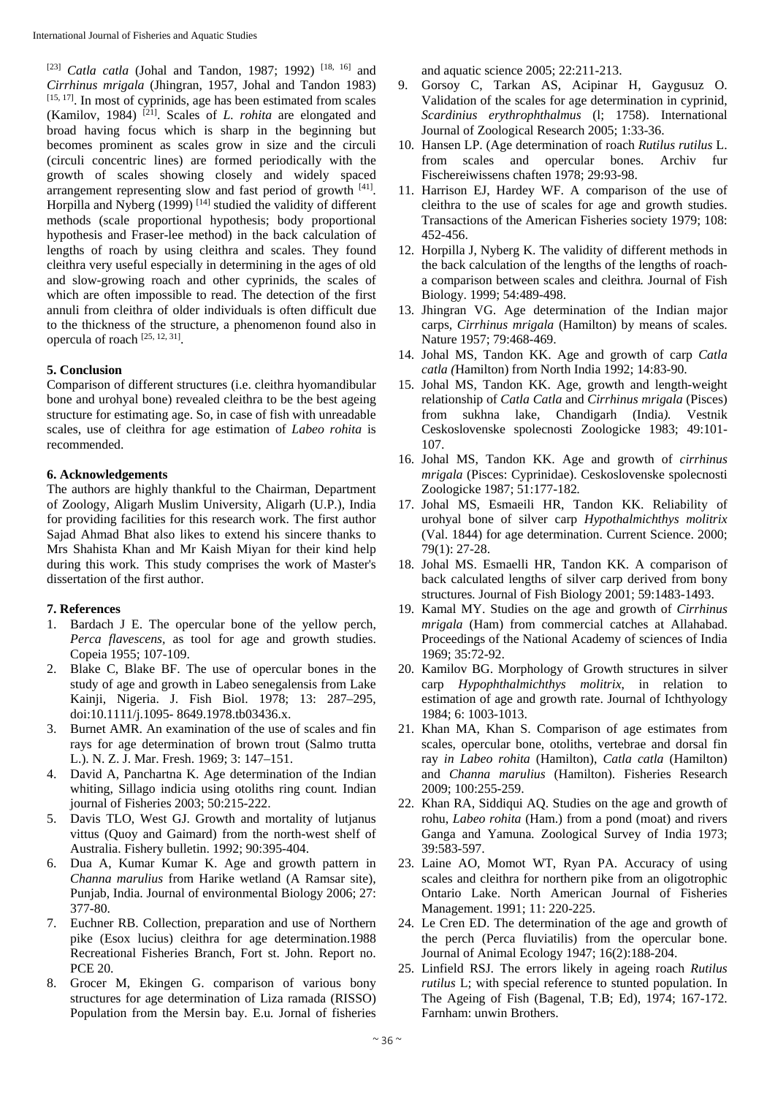[23] *Catla catla* (Johal and Tandon, 1987; 1992)<sup>[18, 16]</sup> and *Cirrhinus mrigala* (Jhingran, 1957, Johal and Tandon 1983) [15, 17]. In most of cyprinids, age has been estimated from scales (Kamilov, 1984) [21]. Scales of *L. rohita* are elongated and broad having focus which is sharp in the beginning but becomes prominent as scales grow in size and the circuli (circuli concentric lines) are formed periodically with the growth of scales showing closely and widely spaced arrangement representing slow and fast period of growth [41]. Horpilla and Nyberg (1999)<sup>[14]</sup> studied the validity of different methods (scale proportional hypothesis; body proportional hypothesis and Fraser-lee method) in the back calculation of lengths of roach by using cleithra and scales. They found cleithra very useful especially in determining in the ages of old and slow-growing roach and other cyprinids, the scales of which are often impossible to read. The detection of the first annuli from cleithra of older individuals is often difficult due to the thickness of the structure, a phenomenon found also in opercula of roach [25, 12, 31].

# **5. Conclusion**

Comparison of different structures (i.e. cleithra hyomandibular bone and urohyal bone) revealed cleithra to be the best ageing structure for estimating age. So, in case of fish with unreadable scales, use of cleithra for age estimation of *Labeo rohita* is recommended.

# **6. Acknowledgements**

The authors are highly thankful to the Chairman, Department of Zoology, Aligarh Muslim University, Aligarh (U.P.), India for providing facilities for this research work. The first author Sajad Ahmad Bhat also likes to extend his sincere thanks to Mrs Shahista Khan and Mr Kaish Miyan for their kind help during this work. This study comprises the work of Master's dissertation of the first author.

# **7. References**

- 1. Bardach J E. The opercular bone of the yellow perch, *Perca flavescens,* as tool for age and growth studies. Copeia 1955; 107-109.
- 2. Blake C, Blake BF. The use of opercular bones in the study of age and growth in Labeo senegalensis from Lake Kainji, Nigeria. J. Fish Biol. 1978; 13: 287–295, doi:10.1111/j.1095- 8649.1978.tb03436.x.
- 3. Burnet AMR. An examination of the use of scales and fin rays for age determination of brown trout (Salmo trutta L.). N. Z. J. Mar. Fresh. 1969; 3: 147–151.
- 4. David A, Panchartna K. Age determination of the Indian whiting, Sillago indicia using otoliths ring count*.* Indian journal of Fisheries 2003; 50:215-222.
- 5. Davis TLO, West GJ. Growth and mortality of lutjanus vittus (Quoy and Gaimard) from the north-west shelf of Australia. Fishery bulletin. 1992; 90:395-404.
- 6. Dua A, Kumar Kumar K. Age and growth pattern in *Channa marulius* from Harike wetland (A Ramsar site), Punjab, India. Journal of environmental Biology 2006; 27: 377-80.
- Euchner RB. Collection, preparation and use of Northern pike (Esox lucius) cleithra for age determination.1988 Recreational Fisheries Branch, Fort st. John. Report no. PCE 20.
- 8. Grocer M, Ekingen G. comparison of various bony structures for age determination of Liza ramada (RISSO) Population from the Mersin bay. E.u*.* Jornal of fisheries

and aquatic science 2005; 22:211-213.

- 9. Gorsoy C, Tarkan AS, Acipinar H, Gaygusuz O. Validation of the scales for age determination in cyprinid, *Scardinius erythrophthalmus* (l; 1758). International Journal of Zoological Research 2005; 1:33-36.
- 10. Hansen LP. (Age determination of roach *Rutilus rutilus* L. from scales and opercular bones. Archiv fur Fischereiwissens chaften 1978; 29:93-98.
- 11. Harrison EJ, Hardey WF. A comparison of the use of cleithra to the use of scales for age and growth studies. Transactions of the American Fisheries society 1979; 108: 452-456.
- 12. Horpilla J, Nyberg K. The validity of different methods in the back calculation of the lengths of the lengths of roacha comparison between scales and cleithra*.* Journal of Fish Biology. 1999; 54:489-498.
- 13. Jhingran VG. Age determination of the Indian major carps*, Cirrhinus mrigala* (Hamilton) by means of scales. Nature 1957; 79:468-469.
- 14. Johal MS, Tandon KK. Age and growth of carp *Catla catla (*Hamilton) from North India 1992; 14:83-90.
- 15. Johal MS, Tandon KK. Age, growth and length-weight relationship of *Catla Catla* and *Cirrhinus mrigala* (Pisces) from sukhna lake, Chandigarh (India*).* Vestnik Ceskoslovenske spolecnosti Zoologicke 1983; 49:101- 107.
- 16. Johal MS, Tandon KK. Age and growth of *cirrhinus mrigala* (Pisces: Cyprinidae). Ceskoslovenske spolecnosti Zoologicke 1987; 51:177-182*.*
- 17. Johal MS, Esmaeili HR, Tandon KK. Reliability of urohyal bone of silver carp *Hypothalmichthys molitrix*  (Val. 1844) for age determination. Current Science. 2000; 79(1): 27-28.
- 18. Johal MS. Esmaelli HR, Tandon KK. A comparison of back calculated lengths of silver carp derived from bony structures*.* Journal of Fish Biology 2001; 59:1483-1493.
- 19. Kamal MY. Studies on the age and growth of *Cirrhinus mrigala* (Ham) from commercial catches at Allahabad. Proceedings of the National Academy of sciences of India 1969; 35:72-92.
- 20. Kamilov BG. Morphology of Growth structures in silver carp *Hypophthalmichthys molitrix*, in relation to estimation of age and growth rate. Journal of Ichthyology 1984; 6: 1003-1013.
- 21. Khan MA, Khan S. Comparison of age estimates from scales, opercular bone, otoliths, vertebrae and dorsal fin ray *in Labeo rohita* (Hamilton), *Catla catla* (Hamilton) and *Channa marulius* (Hamilton). Fisheries Research 2009; 100:255-259.
- 22. Khan RA, Siddiqui AQ. Studies on the age and growth of rohu, *Labeo rohita* (Ham.) from a pond (moat) and rivers Ganga and Yamuna*.* Zoological Survey of India 1973; 39:583-597.
- 23. Laine AO, Momot WT, Ryan PA. Accuracy of using scales and cleithra for northern pike from an oligotrophic Ontario Lake. North American Journal of Fisheries Management. 1991; 11: 220-225.
- 24. Le Cren ED. The determination of the age and growth of the perch (Perca fluviatilis) from the opercular bone. Journal of Animal Ecology 1947; 16(2):188-204.
- 25. Linfield RSJ. The errors likely in ageing roach *Rutilus rutilus* L; with special reference to stunted population. In The Ageing of Fish (Bagenal, T.B; Ed), 1974; 167-172. Farnham: unwin Brothers.